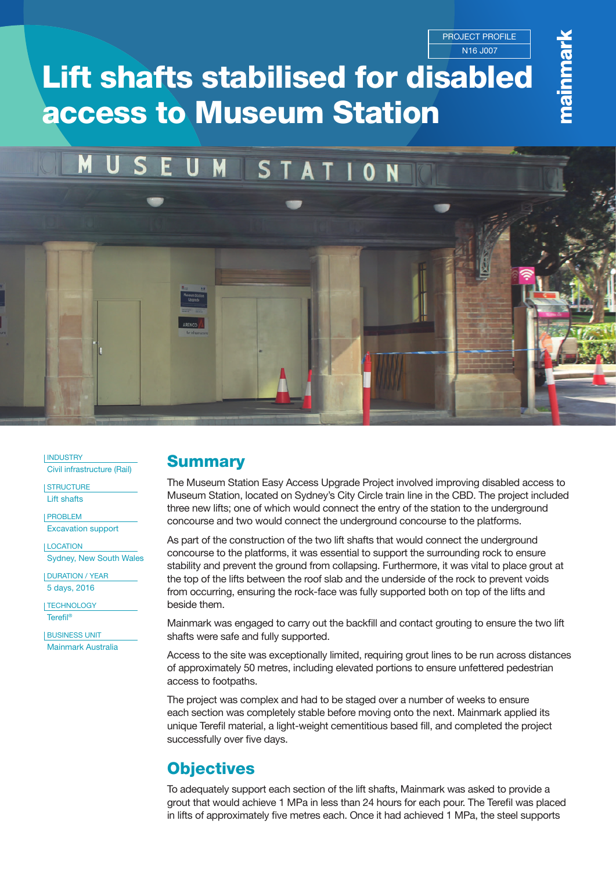PROJECT PROFILE N16 J007

# Lift shafts stabilised for disabled access to Museum Station

#### M M **STATION**

INDUSTRY

Civil infrastructure (Rail)

**STRUCTURE** Lift shafts

PROBLEM

Excavation support

LOCATION Sydney, New South Wales

DURATION / YEAR 5 days, 2016

TECHNOLOGY Terefil®

**BUSINESS UNIT** Mainmark Australia

### **Summary**

The Museum Station Easy Access Upgrade Project involved improving disabled access to Museum Station, located on Sydney's City Circle train line in the CBD. The project included three new lifts; one of which would connect the entry of the station to the underground concourse and two would connect the underground concourse to the platforms.

As part of the construction of the two lift shafts that would connect the underground concourse to the platforms, it was essential to support the surrounding rock to ensure stability and prevent the ground from collapsing. Furthermore, it was vital to place grout at the top of the lifts between the roof slab and the underside of the rock to prevent voids from occurring, ensuring the rock-face was fully supported both on top of the lifts and beside them.

Mainmark was engaged to carry out the backfill and contact grouting to ensure the two lift shafts were safe and fully supported.

Access to the site was exceptionally limited, requiring grout lines to be run across distances of approximately 50 metres, including elevated portions to ensure unfettered pedestrian access to footpaths.

The project was complex and had to be staged over a number of weeks to ensure each section was completely stable before moving onto the next. Mainmark applied its unique Terefil material, a light-weight cementitious based fill, and completed the project successfully over five days.

# **Objectives**

To adequately support each section of the lift shafts, Mainmark was asked to provide a grout that would achieve 1 MPa in less than 24 hours for each pour. The Terefil was placed in lifts of approximately five metres each. Once it had achieved 1 MPa, the steel supports